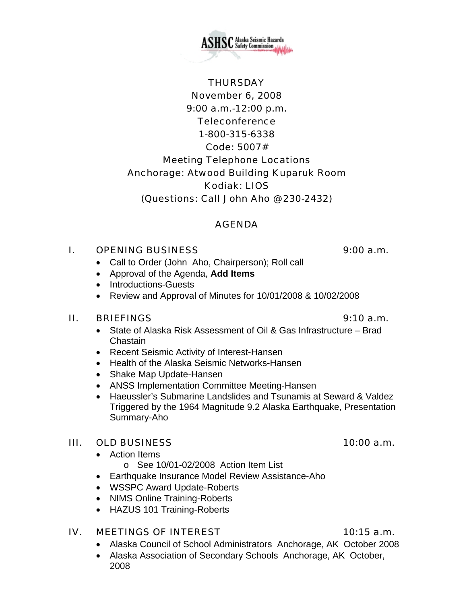November 6, 2008 9:00 a.m.-12:00 p.m. **Teleconference** 1-800-315-6338 Code: 5007# Meeting Telephone Locations Anchorage: Atwood Building Kuparuk Room Kodiak: LIOS (Questions: Call John Aho @ 230-2432)

### AGENDA

## I. OPENING BUSINESS 9:00 a.m.

- Call to Order (John Aho, Chairperson); Roll call
- Approval of the Agenda, **Add Items**
- Introductions-Guests
- Review and Approval of Minutes for 10/01/2008 & 10/02/2008

### II. BRIEFINGS 9:10 a.m.

- State of Alaska Risk Assessment of Oil & Gas Infrastructure Brad Chastain
- Recent Seismic Activity of Interest-Hansen
- Health of the Alaska Seismic Networks-Hansen
- Shake Map Update-Hansen
- ANSS Implementation Committee Meeting-Hansen
- Haeussler's Submarine Landslides and Tsunamis at Seward & Valdez Triggered by the 1964 Magnitude 9.2 Alaska Earthquake, Presentation Summary-Aho

# III. OLD BUSINESS 10:00 a.m.

• Action Items

o See 10/01-02/2008 Action Item List

- Earthquake Insurance Model Review Assistance-Aho
- WSSPC Award Update-Roberts
- NIMS Online Training-Roberts
- HAZUS 101 Training-Roberts

# IV. MEETINGS OF INTEREST 10:15 a.m.

- Alaska Council of School Administrators Anchorage, AK October 2008
- Alaska Association of Secondary Schools Anchorage, AK October, 2008



# **THURSDAY**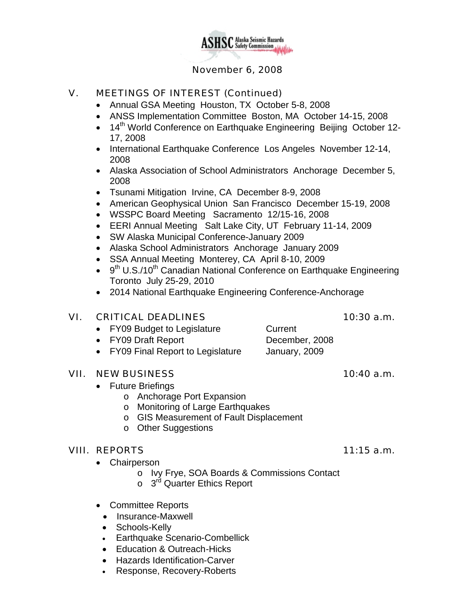

### November 6, 2008

### V. MEETINGS OF INTEREST (Continued)

- Annual GSA Meeting Houston, TX October 5-8, 2008
- ANSS Implementation Committee Boston, MA October 14-15, 2008
- 14<sup>th</sup> World Conference on Earthquake Engineering Beijing October 12-17, 2008
- International Earthquake Conference Los Angeles November 12-14, 2008
- Alaska Association of School Administrators Anchorage December 5, 2008
- Tsunami Mitigation Irvine, CA December 8-9, 2008
- American Geophysical Union San Francisco December 15-19, 2008
- WSSPC Board Meeting Sacramento 12/15-16, 2008
- EERI Annual Meeting Salt Lake City, UT February 11-14, 2009
- SW Alaska Municipal Conference-January 2009
- Alaska School Administrators Anchorage January 2009
- SSA Annual Meeting Monterey, CA April 8-10, 2009
- $\bullet$  9<sup>th</sup> U.S./10<sup>th</sup> Canadian National Conference on Earthquake Engineering Toronto July 25-29, 2010
- 2014 National Earthquake Engineering Conference-Anchorage

### VI. CRITICAL DEADLINES 10:30 a.m.

- FY09 Budget to Legislature Current
- FY09 Draft Report December, 2008
- FY09 Final Report to Legislature January, 2009

### VII. NEW BUSINESS 10:40 a.m.

- Future Briefings
	- o Anchorage Port Expansion
	- o Monitoring of Large Earthquakes
	- o GIS Measurement of Fault Displacement
	- o Other Suggestions

### VIII. REPORTS 11:15 a.m.

- Chairperson
	- o Ivy Frye, SOA Boards & Commissions Contact
	- o 3<sup>rd</sup> Quarter Ethics Report
- Committee Reports
	- Insurance-Maxwell
	- Schools-Kelly
	- Earthquake Scenario-Combellick
	- Education & Outreach -Hicks
	- Hazards Identification-Carver
	- Response, Recovery-Roberts